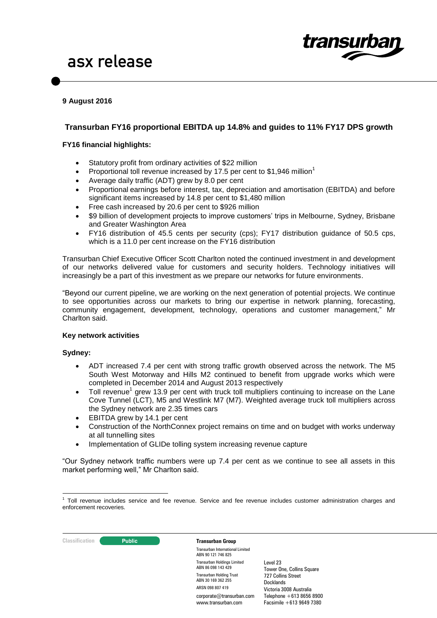

# **9 August 2016**

# **Transurban FY16 proportional EBITDA up 14.8% and guides to 11% FY17 DPS growth**

# **FY16 financial highlights:**

- Statutory profit from ordinary activities of \$22 million
- Proportional toll revenue increased by 17.5 per cent to \$1,946 million<sup>1</sup>
- Average daily traffic (ADT) grew by 8.0 per cent
- Proportional earnings before interest, tax, depreciation and amortisation (EBITDA) and before significant items increased by 14.8 per cent to \$1,480 million
- Free cash increased by 20.6 per cent to \$926 million
- \$9 billion of development projects to improve customers' trips in Melbourne, Sydney, Brisbane and Greater Washington Area
- FY16 distribution of 45.5 cents per security (cps); FY17 distribution guidance of 50.5 cps, which is a 11.0 per cent increase on the FY16 distribution

Transurban Chief Executive Officer Scott Charlton noted the continued investment in and development of our networks delivered value for customers and security holders. Technology initiatives will increasingly be a part of this investment as we prepare our networks for future environments.

"Beyond our current pipeline, we are working on the next generation of potential projects. We continue to see opportunities across our markets to bring our expertise in network planning, forecasting, community engagement, development, technology, operations and customer management," Mr Charlton said.

### **Key network activities**

### **Sydney:**

- ADT increased 7.4 per cent with strong traffic growth observed across the network. The M5 South West Motorway and Hills M2 continued to benefit from upgrade works which were completed in December 2014 and August 2013 respectively
- $\bullet$  Toll revenue<sup>1</sup> grew 13.9 per cent with truck toll multipliers continuing to increase on the Lane Cove Tunnel (LCT), M5 and Westlink M7 (M7). Weighted average truck toll multipliers across the Sydney network are 2.35 times cars
- EBITDA grew by 14.1 per cent
- Construction of the NorthConnex project remains on time and on budget with works underway at all tunnelling sites
- Implementation of GLIDe tolling system increasing revenue capture

"Our Sydney network traffic numbers were up 7.4 per cent as we continue to see all assets in this market performing well," Mr Charlton said.

# **Classification Constitution Transurban Group**

Transurban International Limited ABN 90 121 746 825 Transurban Holdings Limited ABN 86 098 143 429 Transurban Holding Trust ABN 30 169 362 255 ARSN 098 807 419 corporate@transurban.com www.transurhan.com

 1 Toll revenue includes service and fee revenue. Service and fee revenue includes customer administration charges and enforcement recoveries.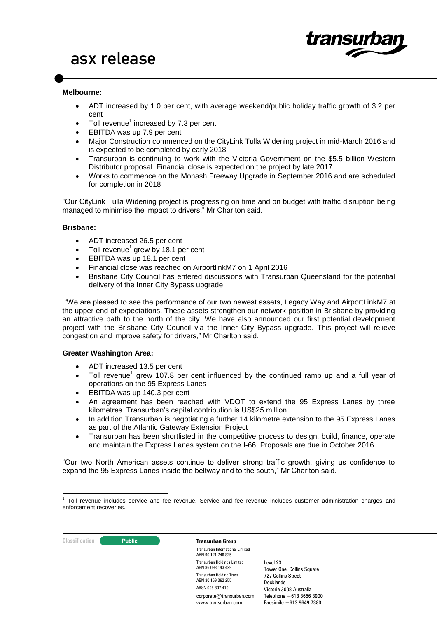

### **Melbourne:**

- ADT increased by 1.0 per cent, with average weekend/public holiday traffic growth of 3.2 per cent
- Toll revenue<sup>1</sup> increased by 7.3 per cent
- EBITDA was up 7.9 per cent
- Major Construction commenced on the CityLink Tulla Widening project in mid-March 2016 and is expected to be completed by early 2018
- Transurban is continuing to work with the Victoria Government on the \$5.5 billion Western Distributor proposal. Financial close is expected on the project by late 2017
- Works to commence on the Monash Freeway Upgrade in September 2016 and are scheduled for completion in 2018

"Our CityLink Tulla Widening project is progressing on time and on budget with traffic disruption being managed to minimise the impact to drivers," Mr Charlton said.

### **Brisbane:**

- ADT increased 26.5 per cent
- $\bullet$  Toll revenue<sup>1</sup> grew by 18.1 per cent
- EBITDA was up 18.1 per cent
- Financial close was reached on AirportlinkM7 on 1 April 2016
- Brisbane City Council has entered discussions with Transurban Queensland for the potential delivery of the Inner City Bypass upgrade

"We are pleased to see the performance of our two newest assets, Legacy Way and AirportLinkM7 at the upper end of expectations. These assets strengthen our network position in Brisbane by providing an attractive path to the north of the city. We have also announced our first potential development project with the Brisbane City Council via the Inner City Bypass upgrade. This project will relieve congestion and improve safety for drivers," Mr Charlton said.

### **Greater Washington Area:**

- ADT increased 13.5 per cent
- $\bullet$  Toll revenue<sup>1</sup> grew 107.8 per cent influenced by the continued ramp up and a full year of operations on the 95 Express Lanes
- EBITDA was up 140.3 per cent
- An agreement has been reached with VDOT to extend the 95 Express Lanes by three kilometres. Transurban's capital contribution is US\$25 million
- In addition Transurban is negotiating a further 14 kilometre extension to the 95 Express Lanes as part of the Atlantic Gateway Extension Project
- Transurban has been shortlisted in the competitive process to design, build, finance, operate and maintain the Express Lanes system on the I-66. Proposals are due in October 2016

"Our two North American assets continue to deliver strong traffic growth, giving us confidence to expand the 95 Express Lanes inside the beltway and to the south," Mr Charlton said.

 1 Toll revenue includes service and fee revenue. Service and fee revenue includes customer administration charges and enforcement recoveries.



Transurban International Limited ABN 90 121 746 825 Transurban Holdings Limited ABN 86 098 143 429 Transurban Holding Trust ABN 30 169 362 255 ARSN 098 807 419 corporate@transurban.com www.transurhan.com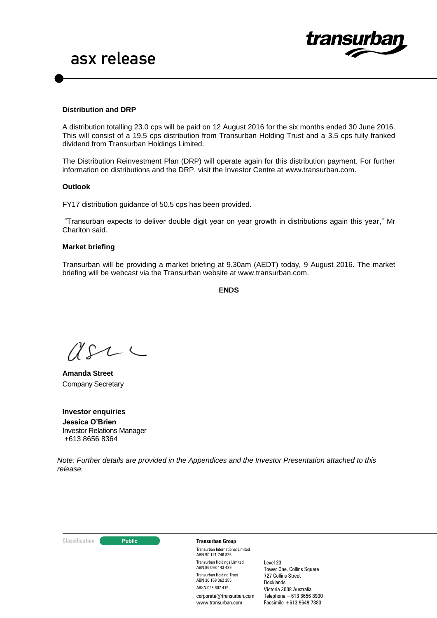

### **Distribution and DRP**

A distribution totalling 23.0 cps will be paid on 12 August 2016 for the six months ended 30 June 2016. This will consist of a 19.5 cps distribution from Transurban Holding Trust and a 3.5 cps fully franked dividend from Transurban Holdings Limited.

The Distribution Reinvestment Plan (DRP) will operate again for this distribution payment. For further information on distributions and the DRP, visit the Investor Centre at [www.transurban.com.](http://www.transurban.com/)

### **Outlook**

FY17 distribution guidance of 50.5 cps has been provided.

"Transurban expects to deliver double digit year on year growth in distributions again this year," Mr Charlton said.

### **Market briefing**

Transurban will be providing a market briefing at 9.30am (AEDT) today, 9 August 2016. The market briefing will be webcast via the Transurban website at www.transurban.com.

**ENDS**

 $U\Omega$ 

**Amanda Street** Company Secretary

**Investor enquiries Jessica O'Brien**  Investor Relations Manager +613 8656 8364

*Note: Further details are provided in the Appendices and the Investor Presentation attached to this release.*

#### **Classification Constitution Transurban Group**

Transurban International Limited ABN 90 121 746 825 Transurban Holdings Limited ABN 86 098 143 429 Transurban Holding Trust ABN 30 169 362 255 ARSN 098 807 419 corporate@transurban.com www.transurhan.com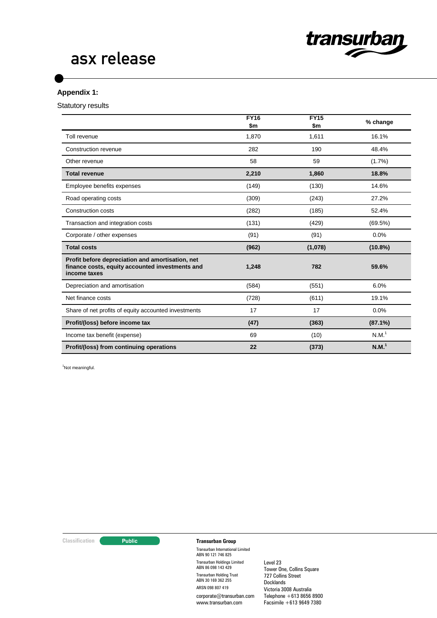

# asx release

# **Appendix 1:**

Statutory results

|                                                                                                                     | <b>FY16</b><br>\$m | <b>FY15</b><br>\$m | % change          |
|---------------------------------------------------------------------------------------------------------------------|--------------------|--------------------|-------------------|
| Toll revenue                                                                                                        | 1,870              | 1,611              | 16.1%             |
| Construction revenue                                                                                                | 282                | 190                | 48.4%             |
| Other revenue                                                                                                       | 58                 | 59                 | (1.7%)            |
| <b>Total revenue</b>                                                                                                | 2,210              | 1,860              | 18.8%             |
| Employee benefits expenses                                                                                          | (149)              | (130)              | 14.6%             |
| Road operating costs                                                                                                | (309)              | (243)              | 27.2%             |
| Construction costs                                                                                                  | (282)              | (185)              | 52.4%             |
| Transaction and integration costs                                                                                   | (131)              | (429)              | (69.5%)           |
| Corporate / other expenses                                                                                          | (91)               | (91)               | 0.0%              |
| <b>Total costs</b>                                                                                                  | (962)              | (1,078)            | $(10.8\%)$        |
| Profit before depreciation and amortisation, net<br>finance costs, equity accounted investments and<br>income taxes | 1,248              | 782                | 59.6%             |
| Depreciation and amortisation                                                                                       | (584)              | (551)              | 6.0%              |
| Net finance costs                                                                                                   | (728)              | (611)              | 19.1%             |
| Share of net profits of equity accounted investments                                                                | 17                 | 17                 | 0.0%              |
| Profit/(loss) before income tax                                                                                     | (47)               | (363)              | $(87.1\%)$        |
| Income tax benefit (expense)                                                                                        | 69                 | (10)               | N.M. <sup>1</sup> |
| Profit/(loss) from continuing operations                                                                            | 22                 | (373)              | N.M. <sup>1</sup> |

<sup>1</sup>Not meaningful.

# **Classification Transurban Group**

Transurban International Limited ABN 90 121 746 825 Transurban Holdings Limited ABN 86 098 143 429 Transurban Holding Trust ABN 30 169 362 255 ARSN 098 807 419 corporate@transurban.com www.transurban.com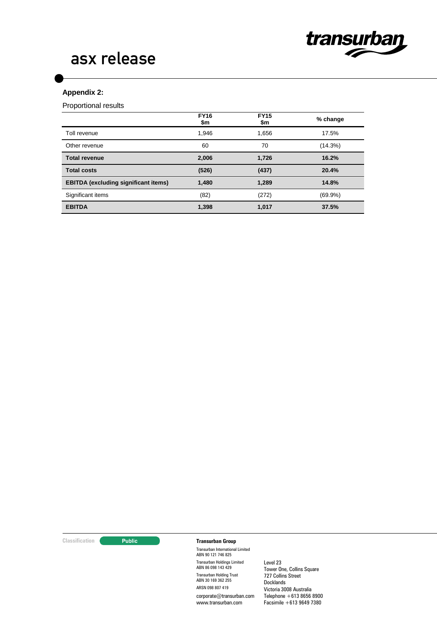

# asx release

# **Appendix 2:**

Proportional results

|                                             | <b>FY16</b><br>\$m | <b>FY15</b><br>\$m | % change   |
|---------------------------------------------|--------------------|--------------------|------------|
| Toll revenue                                | 1.946              | 1.656              | 17.5%      |
| Other revenue                               | 60                 | 70                 | (14.3%)    |
| <b>Total revenue</b>                        | 2,006              | 1,726              | 16.2%      |
| <b>Total costs</b>                          | (526)              | (437)              | 20.4%      |
| <b>EBITDA</b> (excluding significant items) | 1,480              | 1,289              | 14.8%      |
| Significant items                           | (82)               | (272)              | $(69.9\%)$ |
| <b>EBITDA</b>                               | 1,398              | 1,017              | 37.5%      |

# **Classification Transurban Group**

Transurban International Limited ABN 90 121 746 825 Transurban Holdings Limited ABN 86 098 143 429 Transurban Holding Trust ABN 30 169 362 255 ARSN 098 807 419 corporate@transurban.com www.transurban.com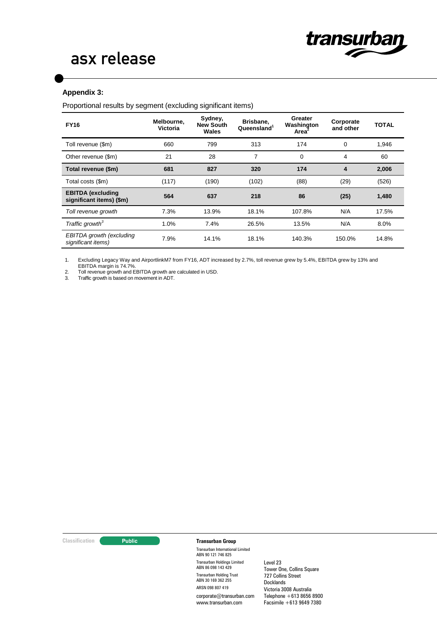# **Appendix 3:**

Proportional results by segment (excluding significant items)

| <b>FY16</b>                                          | Melbourne,<br><b>Victoria</b> | Sydney,<br><b>New South</b><br>Wales | Brisbane,<br>Queensland <sup>1</sup> | Greater<br>Washington<br>Area <sup>2</sup> | Corporate<br>and other | <b>TOTAL</b> |
|------------------------------------------------------|-------------------------------|--------------------------------------|--------------------------------------|--------------------------------------------|------------------------|--------------|
| Toll revenue (\$m)                                   | 660                           | 799                                  | 313                                  | 174                                        | $\Omega$               | 1,946        |
| Other revenue (\$m)                                  | 21                            | 28                                   | 7                                    | 0                                          | 4                      | 60           |
| Total revenue (\$m)                                  | 681                           | 827                                  | 320                                  | 174                                        | 4                      | 2,006        |
| Total costs (\$m)                                    | (117)                         | (190)                                | (102)                                | (88)                                       | (29)                   | (526)        |
| <b>EBITDA</b> (excluding<br>significant items) (\$m) | 564                           | 637                                  | 218                                  | 86                                         | (25)                   | 1,480        |
| Toll revenue growth                                  | 7.3%                          | 13.9%                                | 18.1%                                | 107.8%                                     | N/A                    | 17.5%        |
| Traffic growth <sup>3</sup>                          | 1.0%                          | 7.4%                                 | 26.5%                                | 13.5%                                      | N/A                    | 8.0%         |
| EBITDA growth (excluding<br>significant items)       | 7.9%                          | 14.1%                                | 18.1%                                | 140.3%                                     | 150.0%                 | 14.8%        |

1. Excluding Legacy Way and AirportlinkM7 from FY16, ADT increased by 2.7%, toll revenue grew by 5.4%, EBITDA grew by 13% and EBITDA margin is 74.7%.

2. Toll revenue growth and EBITDA growth are calculated in USD.

3. Traffic growth is based on movement in ADT.

# **Classification Transurban Group**

Transurban International Limited ABN 90 121 746 825 Transurban Holdings Limited ABN 86 098 143 429 Transurban Holding Trust ABN 30 169 362 255 ARSN 098 807 419 corporate@transurban.com www.transurban.com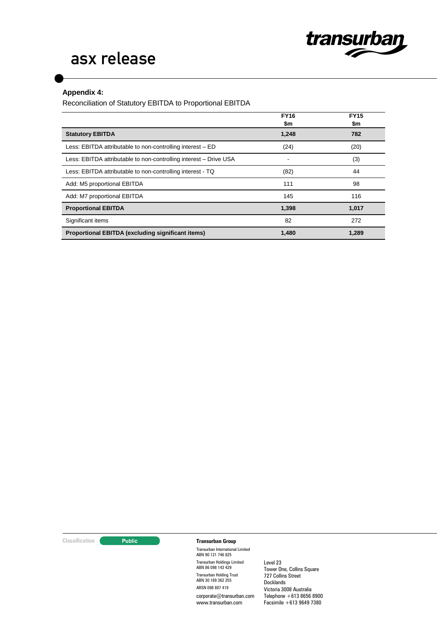

# asx release

# **Appendix 4:**

Reconciliation of Statutory EBITDA to Proportional EBITDA

|                                                                   | <b>FY16</b><br>\$m | <b>FY15</b><br>\$m |
|-------------------------------------------------------------------|--------------------|--------------------|
| <b>Statutory EBITDA</b>                                           | 1,248              | 782                |
| Less: EBITDA attributable to non-controlling interest – ED        | (24)               | (20)               |
| Less: EBITDA attributable to non-controlling interest - Drive USA |                    | (3)                |
| Less: EBITDA attributable to non-controlling interest - TQ        | (82)               | 44                 |
| Add: M5 proportional EBITDA                                       | 111                | 98                 |
| Add: M7 proportional EBITDA                                       | 145                | 116                |
| <b>Proportional EBITDA</b>                                        | 1,398              | 1,017              |
| Significant items                                                 | 82                 | 272                |
| Proportional EBITDA (excluding significant items)                 | 1,480              | 1,289              |

# **Classification Transurban Group**

Transurban International Limited ABN 90 121 746 825 Transurban Holdings Limited ABN 86 098 143 429 Transurban Holding Trust ABN 30 169 362 255 ARSN 098 807 419 corporate@transurban.com www.transurban.com